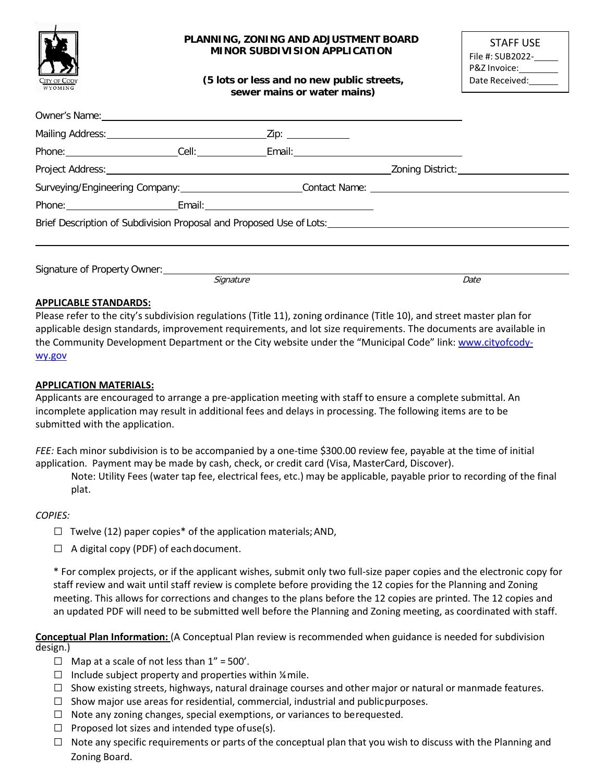

Owner's Name:

#### **PLANNING, ZONING AND ADJUSTMENT BOARD MINOR SUBDIVISION APPLICATION**

**(5 lots or less and no new public streets, sewer mains or water mains)**

| STAFF USE        |
|------------------|
| File #: SUB2022- |
| P&Z Invoice:_    |
| Date Received:   |

|                                                                                                      |  | UWHER'S INSTITUCT NAME AND DESCRIPTION OF THE CONTROL OF THE CONTROL OF THE CONTROL OF THE CONTROL OF THE CONT |                                                                                                      |
|------------------------------------------------------------------------------------------------------|--|----------------------------------------------------------------------------------------------------------------|------------------------------------------------------------------------------------------------------|
|                                                                                                      |  |                                                                                                                |                                                                                                      |
|                                                                                                      |  |                                                                                                                |                                                                                                      |
|                                                                                                      |  |                                                                                                                |                                                                                                      |
| Surveying/Engineering Company: __________________________Contact Name: _____________________________ |  |                                                                                                                |                                                                                                      |
|                                                                                                      |  |                                                                                                                |                                                                                                      |
|                                                                                                      |  |                                                                                                                | Brief Description of Subdivision Proposal and Proposed Use of Lots: ________________________________ |
|                                                                                                      |  |                                                                                                                |                                                                                                      |
|                                                                                                      |  |                                                                                                                |                                                                                                      |
|                                                                                                      |  |                                                                                                                |                                                                                                      |

Signature Date

**APPLICABLE STANDARDS:**

Please refer to the city's subdivision regulations (Title 11), zoning ordinance (Title 10), and street master plan for applicable design standards, improvement requirements, and lot size requirements. The documents are available in the Community Development Department or the City website under the "Municipal Code" link[: www.cityofcody](http://www.cityofcody-wy.gov/)[wy.gov](http://www.cityofcody-wy.gov/)

#### **APPLICATION MATERIALS:**

Applicants are encouraged to arrange a pre-application meeting with staff to ensure a complete submittal. An incomplete application may result in additional fees and delays in processing. The following items are to be submitted with the application.

*FEE:* Each minor subdivision is to be accompanied by a one-time \$300.00 review fee, payable at the time of initial application. Payment may be made by cash, check, or credit card (Visa, MasterCard, Discover).

Note: Utility Fees (water tap fee, electrical fees, etc.) may be applicable, payable prior to recording of the final plat.

#### *COPIES:*

- $\Box$  Twelve (12) paper copies\* of the application materials; AND,
- $\Box$  A digital copy (PDF) of each document.

\* For complex projects, or if the applicant wishes, submit only two full-size paper copies and the electronic copy for staff review and wait until staff review is complete before providing the 12 copies for the Planning and Zoning meeting. This allows for corrections and changes to the plans before the 12 copies are printed. The 12 copies and an updated PDF will need to be submitted well before the Planning and Zoning meeting, as coordinated with staff.

**Conceptual Plan Information:** (A Conceptual Plan review is recommended when guidance is needed for subdivision design.)

- $\Box$  Map at a scale of not less than  $1'' = 500'$ .
- $\Box$  Include subject property and properties within  $\frac{1}{4}$  mile.
- $\Box$  Show existing streets, highways, natural drainage courses and other major or natural or manmade features.
- $\square$  Show major use areas for residential, commercial, industrial and publicpurposes.
- $\Box$  Note any zoning changes, special exemptions, or variances to berequested.
- $\Box$  Proposed lot sizes and intended type of use(s).
- $\Box$  Note any specific requirements or parts of the conceptual plan that you wish to discuss with the Planning and Zoning Board.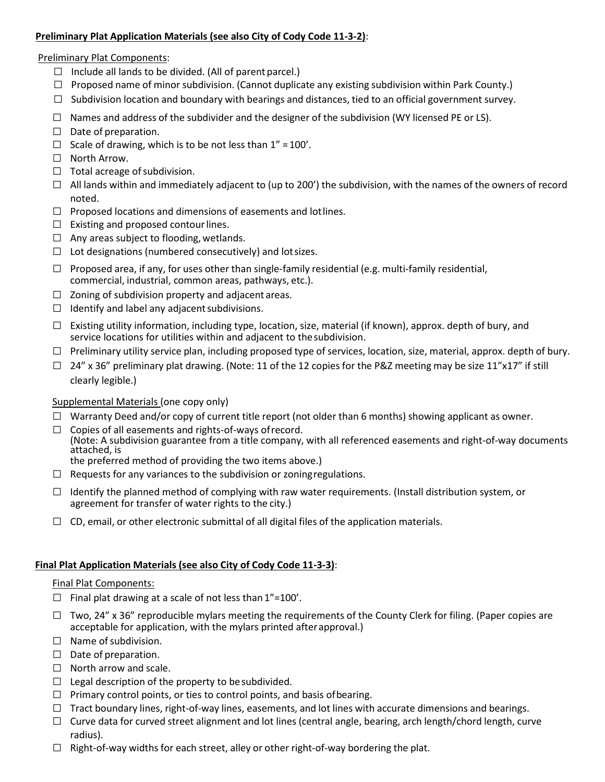# **Preliminary Plat Application Materials (see also City of Cody Code 11-3-2)**:

#### Preliminary Plat Components:

- $\Box$  Include all lands to be divided. (All of parent parcel.)
- $\Box$  Proposed name of minor subdivision. (Cannot duplicate any existing subdivision within Park County.)
- $\Box$  Subdivision location and boundary with bearings and distances, tied to an official government survey.
- $\Box$  Names and address of the subdivider and the designer of the subdivision (WY licensed PE or LS).
- □ Date of preparation.
- $\Box$  Scale of drawing, which is to be not less than 1" = 100'.
- □ North Arrow.
- $\Box$  Total acreage of subdivision.
- $\Box$  All lands within and immediately adjacent to (up to 200') the subdivision, with the names of the owners of record noted.
- $\Box$  Proposed locations and dimensions of easements and lot lines.
- $\Box$  Existing and proposed contour lines.
- $\Box$  Any areas subject to flooding, wetlands.
- $\Box$  Lot designations (numbered consecutively) and lot sizes.
- $\Box$  Proposed area, if any, for uses other than single-family residential (e.g. multi-family residential, commercial, industrial, common areas, pathways, etc.).
- $\Box$  Zoning of subdivision property and adjacent areas.
- $\Box$  Identify and label any adjacent subdivisions.
- $\square$  Existing utility information, including type, location, size, material (if known), approx. depth of bury, and service locations for utilities within and adjacent to the subdivision.
- $\Box$  Preliminary utility service plan, including proposed type of services, location, size, material, approx. depth of bury.
- $\Box$  24" x 36" preliminary plat drawing. (Note: 11 of the 12 copies for the P&Z meeting may be size 11"x17" if still clearly legible.)

## Supplemental Materials (one copy only)

- $\Box$  Warranty Deed and/or copy of current title report (not older than 6 months) showing applicant as owner.
- $\Box$  Copies of all easements and rights-of-ways of record. (Note: A subdivision guarantee from a title company, with all referenced easements and right-of-way documents attached, is
	- the preferred method of providing the two items above.)
- $\Box$  Requests for any variances to the subdivision or zoning regulations.
- $\Box$  Identify the planned method of complying with raw water requirements. (Install distribution system, or agreement for transfer of water rights to the city.)
- $\Box$  CD, email, or other electronic submittal of all digital files of the application materials.

## **Final Plat Application Materials (see also City of Cody Code 11-3-3)**:

## Final Plat Components:

- $\Box$  Final plat drawing at a scale of not less than 1"=100'.
- $\Box$  Two, 24" x 36" reproducible mylars meeting the requirements of the County Clerk for filing. (Paper copies are acceptable for application, with the mylars printed afterapproval.)
- $\Box$  Name of subdivision.
- $\Box$  Date of preparation.
- $\Box$  North arrow and scale.
- $\Box$  Legal description of the property to be subdivided.
- $\Box$  Primary control points, or ties to control points, and basis of bearing.
- $\Box$  Tract boundary lines, right-of-way lines, easements, and lot lines with accurate dimensions and bearings.
- $\Box$  Curve data for curved street alignment and lot lines (central angle, bearing, arch length/chord length, curve radius).
- $\Box$  Right-of-way widths for each street, alley or other right-of-way bordering the plat.